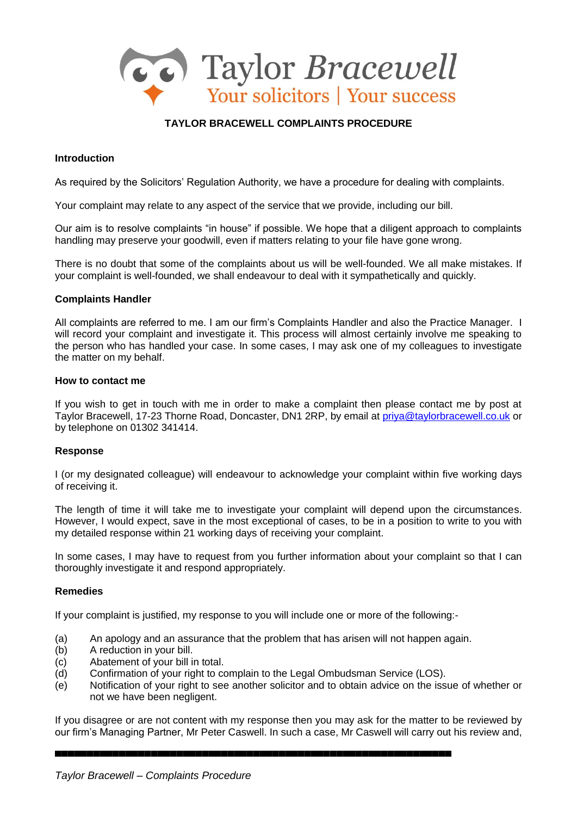

# **TAYLOR BRACEWELL COMPLAINTS PROCEDURE**

### **Introduction**

As required by the Solicitors' Regulation Authority, we have a procedure for dealing with complaints.

Your complaint may relate to any aspect of the service that we provide, including our bill.

Our aim is to resolve complaints "in house" if possible. We hope that a diligent approach to complaints handling may preserve your goodwill, even if matters relating to your file have gone wrong.

There is no doubt that some of the complaints about us will be well-founded. We all make mistakes. If your complaint is well-founded, we shall endeavour to deal with it sympathetically and quickly.

#### **Complaints Handler**

All complaints are referred to me. I am our firm's Complaints Handler and also the Practice Manager. I will record your complaint and investigate it. This process will almost certainly involve me speaking to the person who has handled your case. In some cases, I may ask one of my colleagues to investigate the matter on my behalf.

#### **How to contact me**

If you wish to get in touch with me in order to make a complaint then please contact me by post at Taylor Bracewell, 17-23 Thorne Road, Doncaster, DN1 2RP, by email at [priya@taylorbracewell.co.uk](mailto:priya@taylorbracewell.co.uk) or by telephone on 01302 341414.

# **Response**

I (or my designated colleague) will endeavour to acknowledge your complaint within five working days of receiving it.

The length of time it will take me to investigate your complaint will depend upon the circumstances. However, I would expect, save in the most exceptional of cases, to be in a position to write to you with my detailed response within 21 working days of receiving your complaint.

In some cases, I may have to request from you further information about your complaint so that I can thoroughly investigate it and respond appropriately.

#### **Remedies**

If your complaint is justified, my response to you will include one or more of the following:-

- (a) An apology and an assurance that the problem that has arisen will not happen again.
- (b) A reduction in your bill.
- (c) Abatement of your bill in total.
- (d) Confirmation of your right to complain to the Legal Ombudsman Service (LOS).
- (e) Notification of your right to see another solicitor and to obtain advice on the issue of whether or not we have been negligent.

If you disagree or are not content with my response then you may ask for the matter to be reviewed by our firm's Managing Partner, Mr Peter Caswell. In such a case, Mr Caswell will carry out his review and,

▄▄▄▄▄▄▄▄▄▄▄▄▄▄▄▄▄▄▄▄▄▄▄▄▄▄▄▄▄▄▄▄▄▄▄▄▄▄▄▄▄▄▄▄▄▄▄▄▄▄▄▄▄▄▄▄▄▄▄▄▄▄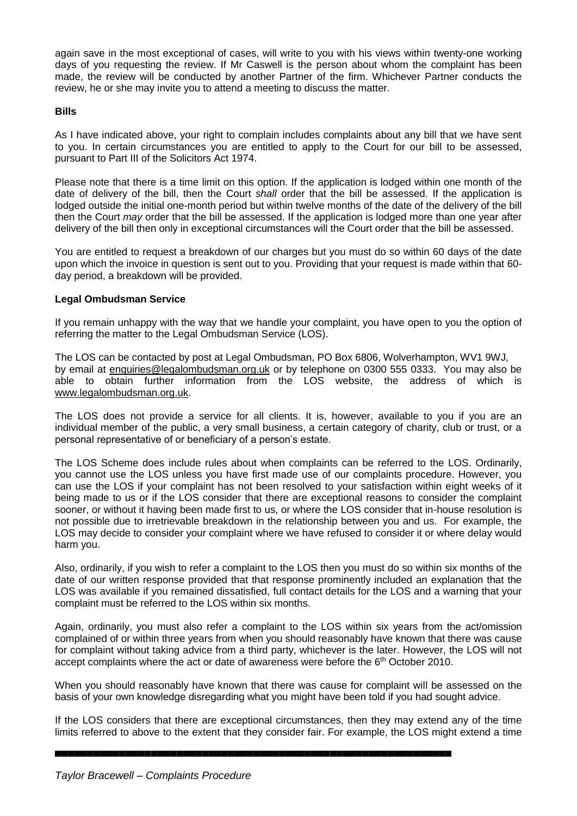again save in the most exceptional of cases, will write to you with his views within twenty-one working days of you requesting the review. If Mr Caswell is the person about whom the complaint has been made, the review will be conducted by another Partner of the firm. Whichever Partner conducts the review, he or she may invite you to attend a meeting to discuss the matter.

### **Bills**

As I have indicated above, your right to complain includes complaints about any bill that we have sent to you. In certain circumstances you are entitled to apply to the Court for our bill to be assessed, pursuant to Part III of the Solicitors Act 1974.

Please note that there is a time limit on this option. If the application is lodged within one month of the date of delivery of the bill, then the Court *shall* order that the bill be assessed. If the application is lodged outside the initial one-month period but within twelve months of the date of the delivery of the bill then the Court *may* order that the bill be assessed. If the application is lodged more than one year after delivery of the bill then only in exceptional circumstances will the Court order that the bill be assessed.

You are entitled to request a breakdown of our charges but you must do so within 60 days of the date upon which the invoice in question is sent out to you. Providing that your request is made within that 60 day period, a breakdown will be provided.

# **Legal Ombudsman Service**

If you remain unhappy with the way that we handle your complaint, you have open to you the option of referring the matter to the Legal Ombudsman Service (LOS).

The LOS can be contacted by post at Legal Ombudsman, PO Box 6806, Wolverhampton, WV1 9WJ, by email at [enquiries@legalombudsman.org.uk](mailto:enquiries@legalombudsman.org.uk) or by telephone on 0300 555 0333. You may also be able to obtain further information from the LOS website, the address of which is [www.legalombudsman.org.uk.](http://www.legalombudsman.org.uk/)

The LOS does not provide a service for all clients. It is, however, available to you if you are an individual member of the public, a very small business, a certain category of charity, club or trust, or a personal representative of or beneficiary of a person's estate.

The LOS Scheme does include rules about when complaints can be referred to the LOS. Ordinarily, you cannot use the LOS unless you have first made use of our complaints procedure. However, you can use the LOS if your complaint has not been resolved to your satisfaction within eight weeks of it being made to us or if the LOS consider that there are exceptional reasons to consider the complaint sooner, or without it having been made first to us, or where the LOS consider that in-house resolution is not possible due to irretrievable breakdown in the relationship between you and us. For example, the LOS may decide to consider your complaint where we have refused to consider it or where delay would harm you.

Also, ordinarily, if you wish to refer a complaint to the LOS then you must do so within six months of the date of our written response provided that that response prominently included an explanation that the LOS was available if you remained dissatisfied, full contact details for the LOS and a warning that your complaint must be referred to the LOS within six months.

Again, ordinarily, you must also refer a complaint to the LOS within six years from the act/omission complained of or within three years from when you should reasonably have known that there was cause for complaint without taking advice from a third party, whichever is the later. However, the LOS will not accept complaints where the act or date of awareness were before the 6<sup>th</sup> October 2010.

When you should reasonably have known that there was cause for complaint will be assessed on the basis of your own knowledge disregarding what you might have been told if you had sought advice.

If the LOS considers that there are exceptional circumstances, then they may extend any of the time limits referred to above to the extent that they consider fair. For example, the LOS might extend a time

▄▄▄▄▄▄▄▄▄▄▄▄▄▄▄▄▄▄▄▄▄▄▄▄▄▄▄▄▄▄▄▄▄▄▄▄▄▄▄▄▄▄▄▄▄▄▄▄▄▄▄▄▄▄▄▄▄▄▄▄▄▄